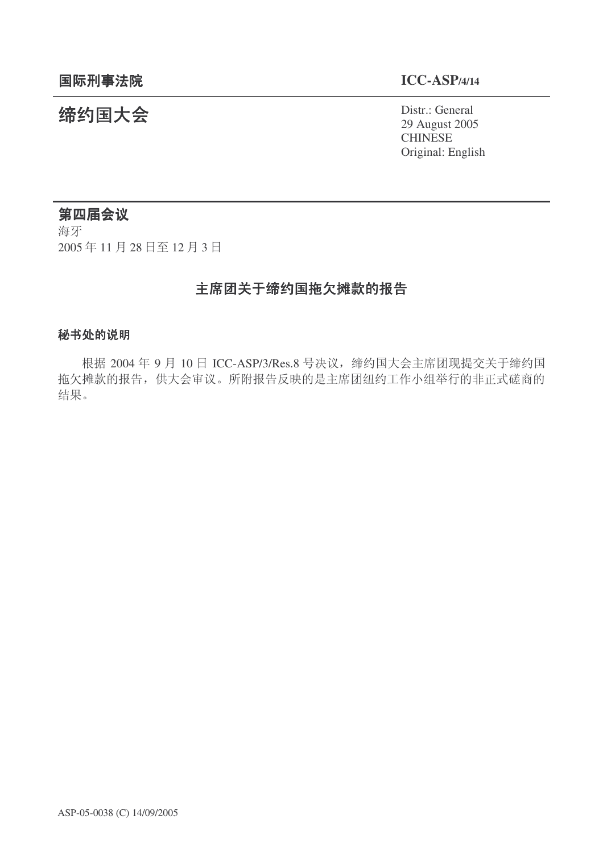# 㓨㑺Ӯ Distr.: General

29 August 2005 CHINESE Original: English

## 第四届会议

海牙 2005年11月28日至12月3日

# 主席团关于缔约国拖欠摊款的报告

#### 秘书处的说明

根据 2004 年 9 月 10 日 ICC-ASP/3/Res.8 号决议, 缔约国大会主席团现提交关于缔约国 拖欠摊款的报告,供大会审议。所附报告反映的是主席团纽约工作小组举行的非正式磋商的 结果。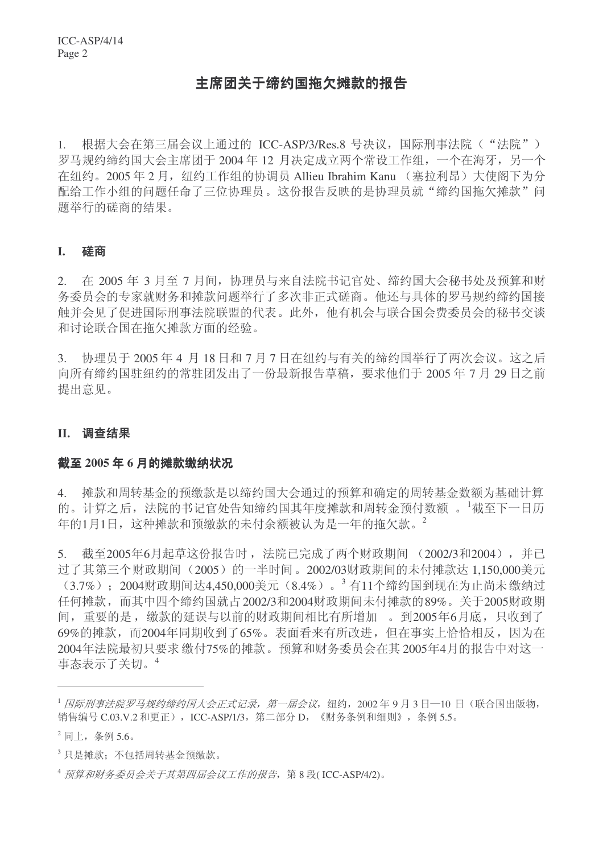### 主席团关于缔约国拖欠摊款的报告

1. 根据大会在第三届会议上通过的 ICC-ASP/3/Res.8 号决议, 国际刑事法院("法院") 罗马规约缔约国大会主席团于 2004 年 12 月决定成立两个常设工作组,一个在海牙,另一个 在纽约。2005年2月, 纽约工作组的协调员 Allieu Ibrahim Kanu (塞拉利昂) 大使阁下为分 配给工作小组的问题任命了三位协理员。这份报告反映的是协理员就"缔约国拖欠摊款"问 题举行的磋商的结果。

#### **I.** ⺟ଚ

2. 在 2005 年 3 月至 7 月间,协理员与来自法院书记官处、缔约国大会秘书处及预算和财 务委员会的专家就财务和摊款问题举行了多次非正式磋商。他还与具体的罗马规约缔约国接 触并会见了促进国际刑事法院联盟的代表。此外,他有机会与联合国会费委员会的秘书交谈 和讨论联合国在拖欠摊款方面的经验。

 $3.$  协理员于  $2005$  年 4 月 18 日和 7 月 7 日在纽约与有关的缔约国举行了两次会议。这之后 向所有缔约国驻纽约的常驻团发出了一份最新报告草稿, 要求他们干 2005年7月29日之前 提出意见。

#### **II.** 调查结果

#### 截至 2005 年 6 月的摊款缴纳状况

4. 摊款和周转基金的预缴款是以缔约国大会通过的预算和确定的周转基金数额为基础计算 的。计算之后, 法院的书记官处告知缔约国其年度摊款和周转金预付数额。<sup>1</sup>截至下一日历 年的1月1日, 这种摊款和预缴款的未付余额被认为是一年的拖欠款。<sup>2</sup>

5. 截至2005年6月起草这份报告时, 法院已完成了两个财政期间 (2002/3和2004), 并已 过了其第三个财政期间 (2005) 的一半时间。2002/03财政期间的未付摊款达 1,150,000美元 (3.7%); 2004财政期间达4,450,000美元 (8.4%)。<sup>3</sup>有11个缔约国到现在为止尚未缴纳过 任何摊款,而其中四个缔约国就占2002/3和2004财政期间未付摊款的89%。关于2005财政期 间, 重要的是, 缴款的延误与以前的财政期间相比有所增加。到2005年6月底, 只收到了 69%的摊款,而2004年同期收到了65%。表面看来有所改进,但在事实上恰恰相反,因为在 2004年法院最初只要求缴付75%的摊款。预算和财务委员会在其2005年4月的报告中对这一 事态表示了关切。4

 $^{-1}$ 国际刑事法院罗马规约缔约国大会正式记录,第一届会议,纽约,2002年9月3日-10日(联合国出版物, 销售编号 C.03.V.2 和更正), ICC-ASP/1/3, 第二部分 D, 《财务条例和细则》, 条例 5.5。

 $2$  同上, 条例 5.6。

 $^3$ 只是摊款: 不包括周转基金预缴款。

 $4\frac{m}{k}$  预算和财务委员会关于其第四届会议工作的报告, 第8段(ICC-ASP/4/2)。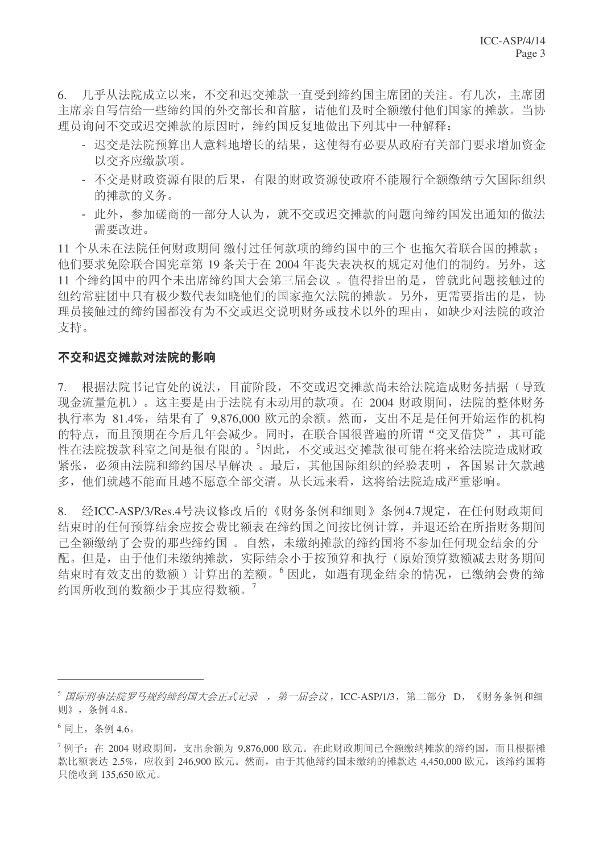6. 几乎从法院成立以来,不交和迟交摊款一直受到缔约国主席团的关注。有几次,主席团 主席亲自写信给一些缔约国的外交部长和首脑,请他们及时全额缴付他们国家的摊款。当协 理员询问不交或迟交摊款的原因时, 缔约国反复地做出下列其中一种解释:

- 迟交是法院预算出人意料地增长的结果, 这使得有必要从政府有关部门要求增加资金 以交齐应缴款项。
- 不交是财政资源有限的后果, 有限的财政资源使政府不能履行全额缴纳亏欠国际组织 的摊款的义务。
- 此外, 参加磋商的一部分人认为, 就不交或迟交摊款的问题向缔约国发出通知的做法 需要改讲。

11 个从未在法院任何财政期间 缴付过任何款项的缔约国中的三个 也拖欠着联合国的摊款; 他们要求免除联合国宪章第19 条关于在 2004 年丧失表决权的规定对他们的制约。另外, 这 11 个缔约国中的四个未出席缔约国大会第三届会议。值得指出的是, 曾就此问题接触过的 纽约常驻团中只有极少数代表知晓他们的国家拖欠法院的摊款。另外,更需要指出的是,协 理员接触过的缔约国都没有为不交或迟交说明财务或技术以外的理由,如缺少对法院的政治 支持。

#### 不交和迟交摊款对法院的影响

7. 根据法院书记官处的说法,目前阶段,不交或迟交摊款尚未给法院造成财务拮据(导致 现金流量危机)。这主要是由于法院有未动用的款项。在 2004 财政期间, 法院的整体财务 执行率为 81.4%, 结果有了 9.876,000 欧元的余额。然而, 支出不足是任何开始运作的机构 的特点,而且预期在今后几年会减少。同时,在联合国很普遍的所谓"交叉借贷",其可能 性在法院拨款科室之间是很有限的。5因此,不交或迟交摊款很可能在将来给法院造成财政 紧张, 必须由法院和缔约国尽早解决。最后, 其他国际组织的经验表明, 各国累计欠款越 多,他们就越不能而且越不愿意全部交清。从长远来看,这将给法院造成严重影响。

8. 经ICC-ASP/3/Res.4号决议修改后的《财务条例和细则》条例4.7规定, 在任何财政期间 结束时的任何预算结余应按会费比额表在缔约国之间按比例计算,并退还给在所指财务期间 已全额缴纳了会费的那些缔约国。自然, 未缴纳摊款的缔约国将不参加任何现金结余的分 配。但是,由于他们未缴纳摊款,实际结余小于按预算和执行(原始预算数额减去财务期间 结束时有效支出的数额)计算出的差额。<sup>6</sup>因此,如遇有现金结余的情况,已缴纳会费的缔 约国所收到的数额少于其应得数额。7

<sup>5</sup> 国际刑事法院罗马规约缔约国大会正式记录,第一届会议,ICC-ASP/1/3,第二部分 D,《财务条例和细 则》,条例4.8。

 $^6$ 同上, 条例 4.6。

 $^7$  例子: 在 2004 财政期间, 支出余额为 9,876,000 欧元。在此财政期间已全额缴纳摊款的缔约国, 而且根据摊 款比额表达 2.5%, 应收到 246,900 欧元。然而, 由于其他缔约国未缴纳的摊款达 4.450,000 欧元, 该缔约国将 只能收到 135,650 欧元。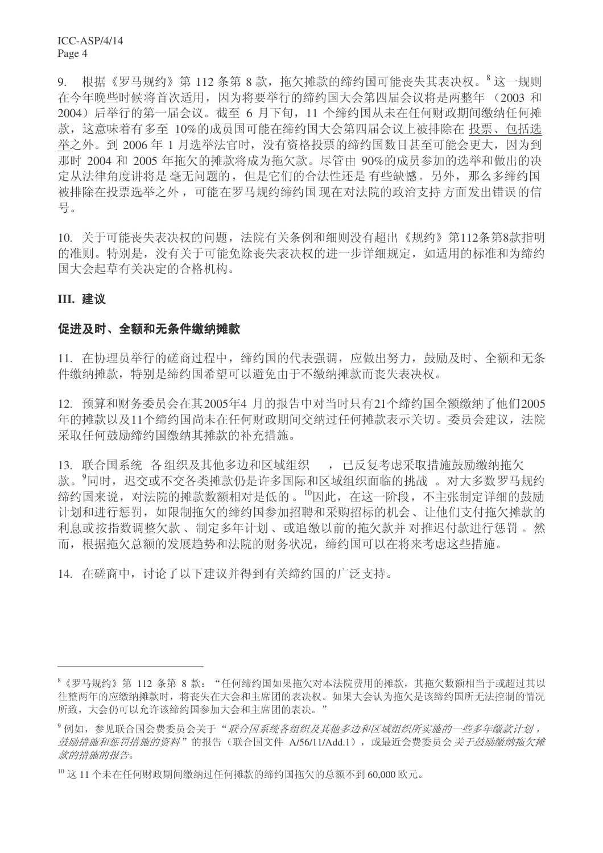9. 根据《罗马规约》第112 条第 8 款,拖欠摊款的缔约国可能丧失其表决权。<sup>8</sup> 这一规则 在今年晚些时候将首次适用,因为将要举行的缔约国大会第四届会议将是两整年 (2003 和 2004) 后举行的第一届会议。截至 6 月下旬, 11 个缔约国从未在任何财政期间缴纳任何摊 款, 这意味着有多至 10%的成员国可能在缔约国大会第四届会议上被排除在投票、包括选 举之外。到 2006年1月选举法官时,没有资格投票的缔约国数目甚至可能会更大,因为到 那时 2004 和 2005 年拖欠的摊款将成为拖欠款。尽管由 90%的成员参加的选举和做出的决 定从法律角度讲将是 毫无问题的, 但是它们的合法性还是 有些缺憾。另外, 那么多缔约国 被排除在投票选举之外,可能在罗马规约缔约国现在对法院的政治支持方面发出错误的信 号。

10. 关于可能丧失表决权的问题, 法院有关条例和细则没有超出《规约》第112条第8款指明 的准则。特别是, 没有关于可能免除丧失表决权的进一步详细规定, 如适用的标准和为缔约 国大会起草有关决定的合格机构。

#### **III.** 建议

#### 促进及时、全额和无条件缴纳摊款

11. 在协理员举行的磋商过程中, 缔约国的代表强调, 应做出努力, 鼓励及时、全额和无条 件缴纳摊款,特别是缔约国希望可以避免由于不缴纳摊款而丧失表决权。

12. 预算和财务委员会在其2005年4 月的报告中对当时只有21个缔约国全额缴纳了他们2005 年的摊款以及11个缔约国尚未在任何财政期间交纳过任何摊款表示关切。委员会建议,法院 采取仟何鼓励缔约国缴纳其摊款的补充措施。

13. 联合国系统 各组织及其他多边和区域组织 , 已反复考虑采取措施鼓励缴纳拖欠 款。 同时, 迟交或不交各类摊款仍是许多国际和区域组织面临的挑战。对大多数罗马规约 缔约国来说, 对法院的摊款数额相对是低的。10因此, 在这一阶段, 不主张制定详细的鼓励 计划和进行惩罚, 如限制拖欠的缔约国参加招聘和采购招标的机会、让他们支付拖欠摊款的 利息或按指数调整欠款、制定多年计划、或追缴以前的拖欠款并对推迟付款进行惩罚。然 而,根据拖欠总额的发展趋势和法院的财务状况,缔约国可以在将来考虑这些措施。

14. 在磋商中, 讨论了以下建议并得到有关缔约国的广泛支持。

<sup>8 《</sup>罗马规约》第 112 条第 8 款: "任何缔约国如果拖欠对本法院费用的摊款, 其拖欠数额相当于或超过其以 往整两年的应缴纳摊款时,将丧失在大会和主席团的表决权。如果大会认为拖欠是该缔约国所无法控制的情况 所致,大会仍可以允许该缔约国参加大会和主席团的表决。"

<sup>9</sup> 例如,参见联合国会费委员会关于"联合国系统各组织及其他多边和区域组织所实施的一些多年缴款计划, 鼓励措施和惩罚措施的资料"的报告(联合国文件 A/56/11/Add.1), 或最近会费委员会 关于鼓励缴纳拖欠摊 款的措施的报告。

 $^{10}$  这 11 个未在任何财政期间缴纳过任何摊款的缔约国拖欠的总额不到 60,000 欧元。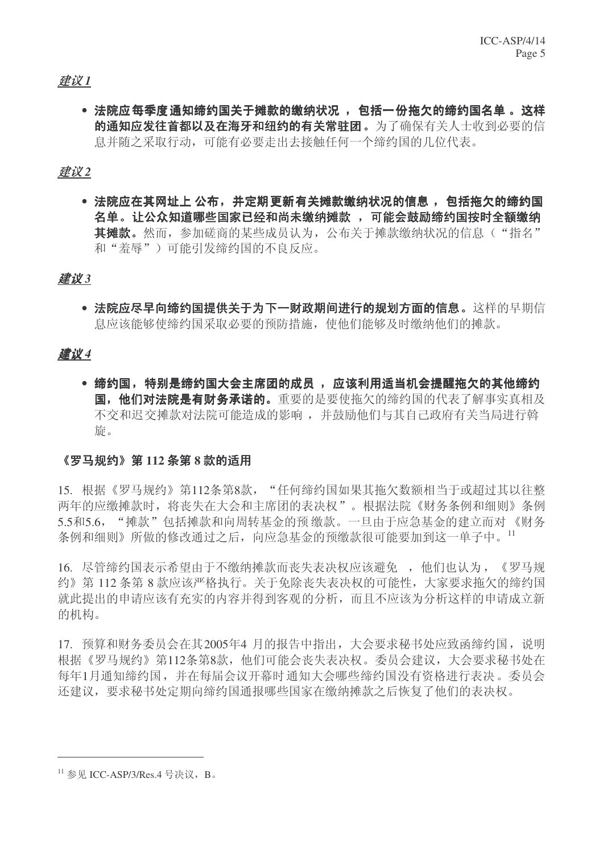#### ᓎ䆂 *1*

● 法院应每季度诵知缔约国关于摊款的缴纳状况, ,包括一份拖欠的缔约国名单。 这样 的通知应发往首都以及在海牙和纽约的有关常驻团。为了确保有关人士收到必要的信 息并随之采取行动,可能有必要走出去接触任何一个缔约国的几位代表。

ᓎ䆂 *2*

● 法院应在其网址上 公布,并定期更新有关摊款缴纳状况的信息 ,包括拖欠的缔约国 名单。让公众知道哪些国家已经和尚未缴纳摊款,可能会鼓励缔约国按时全额缴纳 其摊款。然而,参加磋商的某些成员认为, 公布关于摊款缴纳状况的信息("指名" 和"羞辱")可能引发缔约国的不良反应。

#### ᓎ䆂 *3*

• 法院应尽早向缔约国提供关于为下一财政期间进行的规划方面的信息。这样的早期信 息应该能够使缔约国采取必要的预防措施, 使他们能够及时缴纳他们的摊款。

### ᓎ䆂 *4*

• 缔约国,特别是缔约国大会主席团的成员, 应该利用话当机会提醒拖欠的其他缔约 国, 他们对法院是有财务承诺的。重要的是要使拖欠的缔约国的代表了解事实真相及 不交和迟交摊款对法院可能造成的影响,并鼓励他们与其自己政府有关当局进行斡 旂。

#### 《罗马规约》第112 条第 8 款的话用

15. 根据《罗马规约》第112条第8款, "任何缔约国如果其拖欠数额相当于或超过其以往整 两年的应缴摊款时,将丧失在大会和主席团的表决权"。根据法院《财务条例和细则》条例 5.5和5.6, "摊款"包括摊款和向周转基金的预 缴款。一旦由于应急基金的建立而对 《财务 条例和细则》所做的修改通过之后, 向应急基金的预缴款很可能要加到这一单子中。11

16. 尽管缔约国表示希望由于不缴纳摊款而丧失表决权应该避免 , 他们也认为, 《罗马规 约》第112 条第8款应该严格执行。关于免除丧失表决权的可能性,大家要求拖欠的缔约国 就此提出的申请应该有充实的内容并得到客观的分析,而且不应该为分析这样的申请成立新 的机构。

17. 预算和财务委员会在其2005年4 月的报告中指出,大会要求秘书处应致函缔约国,说明 根据《罗马规约》第112条第8款,他们可能会丧失表决权。委员会建议,大会要求秘书处在 每年1月通知缔约国,并在每届会议开幕时通知大会哪些缔约国没有资格进行表决。委员会 还建议,要求秘书处定期向缔约国通报哪些国家在缴纳摊款之后恢复了他们的表决权。

 $^{11}$  参见 ICC-ASP/3/Res.4 号决议, B。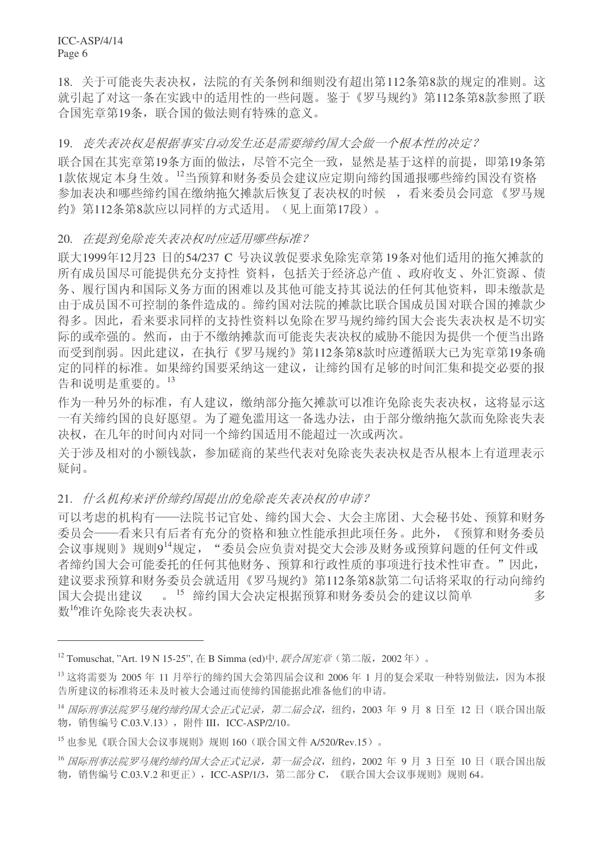ICC-ASP/4/14 Page 6

18. 关于可能丧失表决权, 法院的有关条例和细则没有超出第112条第8款的规定的准则。这 就引起了对这一条在实践中的适用性的一些问题。鉴于《罗马规约》第112条第8款参照了联 合国宪章第19条, 联合国的做法则有特殊的意义。

19. 丧失表决权是根据事实自动发生还是需要缔约国大会做一个根本性的决定?

联合国在其宪章第19条方面的做法,尽管不完全一致,显然是基于这样的前提,即第19条第 1款依规定本身生效。<sup>12</sup>当预算和财务委员会建议应定期向缔约国通报哪些缔约国没有资格 参加表决和哪些缔约国在缴纳拖欠摊款后恢复了表决权的时候, 看来委员会同意《罗马规 约》第112条第8款应以同样的方式适用。(见上面第17段)。

20. 在提到免除丧失表决权时应适用哪些标准?

联大1999年12月23 日的54/237 C 号决议敦促要求免除宪章第19条对他们适用的拖欠摊款的 所有成员国尽可能提供充分支持性 资料, 包括关于经济总产值、政府收支、外汇资源、债 务、履行国内和国际义务方面的困难以及其他可能支持其说法的任何其他资料,即未缴款是 由于成员国不可控制的条件造成的。缔约国对法院的摊款比联合国成员国对联合国的摊款少 得多。因此,看来要求同样的支持性资料以免除在罗马规约缔约国大会丧失表决权是不切实 际的或牵强的。然而,由于不缴纳摊款而可能丧失表决权的威胁不能因为提供一个便当出路 而受到削弱。因此建议, 在执行《罗马规约》第112条第8款时应遵循联大已为宪章第19条确 定的同样的标准。如果缔约国要采纳这一建议, 让缔约国有足够的时间汇集和提交必要的报 告和说明是重要的。13

作为一种另外的标准, 有人建议, 缴纳部分拖欠摊款可以准许免除丧失表决权, 这将显示这 一有关缔约国的良好愿望。为了避免滥用这一备选办法,由于部分缴纳拖欠款而免除丧失表 决权, 在几年的时间内对同一个缔约国适用不能超过一次或两次。

关于涉及相对的小额钱款,参加磋商的某些代表对免除丧失表决权是否从根本上有道理表示 疑问。

#### 21. 什么机构来评价缔约国提出的免除丧失表决权的申请?

可以考虑的机构有——法院书记官处、缔约国大会、大会主席团、大会秘书处、预算和财务 委员会——看来只有后者有充分的资格和独立性能承担此项任务。此外,《预算和财务委员 会议事规则》规则914规定, "委员会应负责对提交大会涉及财务或预算问题的任何文件或 者缔约国大会可能委托的任何其他财务、预算和行政性质的事项进行技术性审查。"因此, 建议要求预算和财务委员会就适用《罗马规约》第112条第8款第二句话将采取的行动向缔约 国大会提出建议 。<sup>15</sup> 缔约国大会决定根据预算和财务委员会的建议以简单 多 数<sup>16</sup>准许免除丧失表决权。

 $12$  Tomuschat, "Art. 19 N 15-25", 在 B Simma (ed)中, 联合国宪章 (第二版, 2002年)。

 $^{13}$  这将需要为 2005 年 11 月举行的缔约国大会第四届会议和 2006 年 1 月的复会采取一种特别做法, 因为本报 告所建议的标准将还未及时被大会通过而使缔约国能据此准备他们的申请。

<sup>14</sup> 国际刑事法院罗马规约缔约国大会正式记录, 第二届会议, 纽约, 2003 年 9 月 8 日至 12 日 (联合国出版 物, 销售编号 C.03.V.13), 附件 III, ICC-ASP/2/10。

 $^{15}$  也参见《联合国大会议事规则》规则 160(联合国文件 A/520/Rev.15)。

<sup>&</sup>lt;sup>16</sup> 国际刑事法院罗马规约缔约国大会正式记录, 第一届会议, 纽约, 2002 年 9 月 3 日至 10 日 (联合国出版 物, 销售编号 C.03.V.2 和更正), ICC-ASP/1/3, 第二部分 C, 《联合国大会议事规则》规则 64。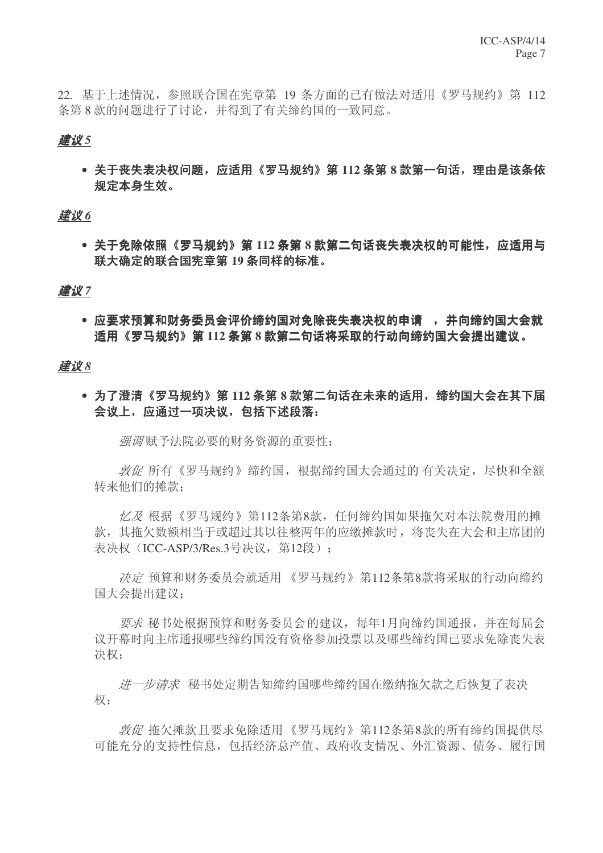22. 基于上述情况, 参照联合国在宪章第 19 条方面的已有做法对适用《罗马规约》第 112 条第8款的问题讲行了讨论,并得到了有关缔约国的一致同意。

#### ᓎ䆂 *5*

• 关于丧失表决权问题,应适用《罗马规约》第112 条第 8 款第一句话,理由是该条依 规定本身生效。

#### 建议6

• 关于免除依照《罗马规约》第112 条第8款第二句话丧失表决权的可能性, 应适用与 联大确定的联合国宪章第 19 条同样的标准。

#### 建议7

● 应要求预算和财务委员会评价缔约国对免除丧失表决权的申请 , 并向缔约国大会就 适用《罗马规约》第112 条第8 款第二句话将采取的行动向缔约国大会提出建议。

#### ᓎ䆂 *8*

• 为了澄清《罗马规约》第112 条第 8 款第二句话在未来的适用,缔约国大会在其下届 会议上, 应通过一项决议, 包括下述段落:

*强调*赋予法院必要的财务资源的重要性:

敦促所有《罗马规约》缔约国,根据缔约国大会通过的有关决定,尽快和全额 转来他们的摊款:

 $\angle$  / Z 根据《罗马规约》第112条第8款, 任何缔约国如果拖欠对本法院费用的摊 款, 基拖欠数额相当于或超讨其以往整两年的应缴摊款时, 将丧失在大会和主席团的 表决权 (ICC-ASP/3/Res.3号决议, 第12段):

决定 预算和财务委员会就适用 《罗马规约》第112条第8款将采取的行动向缔约 国大会提出建议:

要求秘书处根据预算和财务委员会的建议, 每年1月向缔约国通报, 并在每届会 议开幕时向主席通报哪些缔约国没有资格参加投票以及哪些缔约国已要求免除丧失表 决权:

ガー步请求 秘书处定期告知缔约国哪些缔约国在缴纳拖欠款之后恢复了表决 权;

敦促 拖欠摊款日要求免除适用《罗马规约》第112条第8款的所有缔约国提供尽 可能充分的支持性信息, 包括经济总产值、政府收支情况、外汇资源、债务、履行国